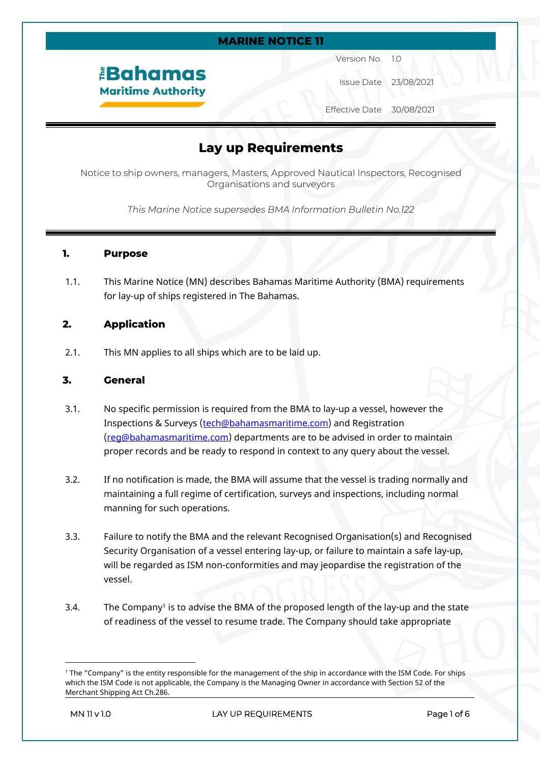#### **MARINE NOTICE 11**

# *<u><b>EBahamas</u>* **Maritime Authority**

Version No. 1.0

Issue Date 23/08/2021

Effective Date 30/08/2021

# **Lay up Requirements**

Notice to ship owners, managers, Masters, Approved Nautical Inspectors, Recognised Organisations and surveyors

*This Marine Notice supersedes BMA Information Bulletin No.122*

#### **1. Purpose**

1.1. This Marine Notice (MN) describes Bahamas Maritime Authority (BMA) requirements for lay-up of ships registered in The Bahamas.

### **2. Application**

2.1. This MN applies to all ships which are to be laid up.

### **3. General**

- 3.1. No specific permission is required from the BMA to lay-up a vessel, however the Inspections & Surveys ([tech@bahamasmaritime.com](mailto:tech@bahamasmaritime.com)) and Registration [\(reg@bahamasmaritime.com](mailto:reg@bahamasmaritime.com)) departments are to be advised in order to maintain proper records and be ready to respond in context to any query about the vessel.
- 3.2. If no notification is made, the BMA will assume that the vessel is trading normally and maintaining a full regime of certification, surveys and inspections, including normal manning for such operations.
- 3.3. Failure to notify the BMA and the relevant Recognised Organisation(s) and Recognised Security Organisation of a vessel entering lay-up, or failure to maintain a safe lay-up, will be regarded as ISM non-conformities and may jeopardise the registration of the vessel.
- 3.4. The Company<sup>1</sup> is to advise the BMA of the proposed length of the lay-up and the state of readiness of the vessel to resume trade. The Company should take appropriate

<sup>1</sup> The "Company" is the entity responsible for the management of the ship in accordance with the ISM Code. For ships which the ISM Code is not applicable, the Company is the Managing Owner in accordance with Section 52 of the Merchant Shipping Act Ch.286.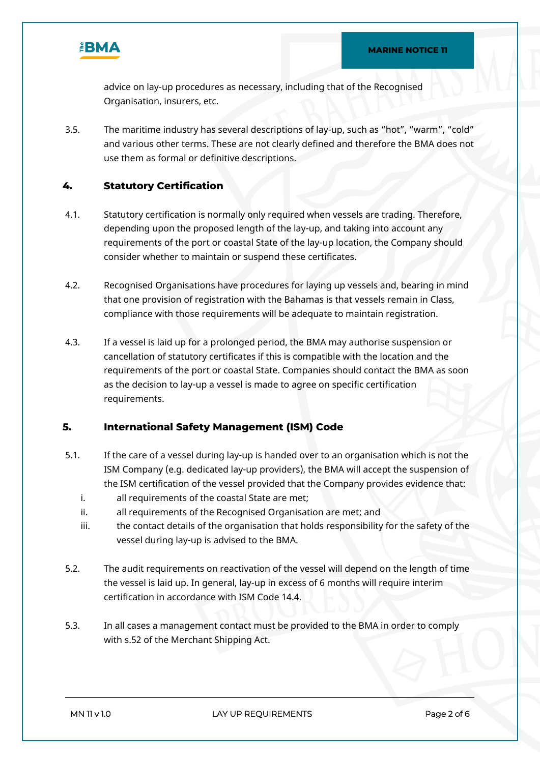

advice on lay-up procedures as necessary, including that of the Recognised Organisation, insurers, etc.

3.5. The maritime industry has several descriptions of lay-up, such as "hot", "warm", "cold" and various other terms. These are not clearly defined and therefore the BMA does not use them as formal or definitive descriptions.

# **4. Statutory Certification**

- 4.1. Statutory certification is normally only required when vessels are trading. Therefore, depending upon the proposed length of the lay-up, and taking into account any requirements of the port or coastal State of the lay-up location, the Company should consider whether to maintain or suspend these certificates.
- 4.2. Recognised Organisations have procedures for laying up vessels and, bearing in mind that one provision of registration with the Bahamas is that vessels remain in Class, compliance with those requirements will be adequate to maintain registration.
- 4.3. If a vessel is laid up for a prolonged period, the BMA may authorise suspension or cancellation of statutory certificates if this is compatible with the location and the requirements of the port or coastal State. Companies should contact the BMA as soon as the decision to lay-up a vessel is made to agree on specific certification requirements.

# **5. International Safety Management (ISM) Code**

- 5.1. If the care of a vessel during lay-up is handed over to an organisation which is not the ISM Company (e.g. dedicated lay-up providers), the BMA will accept the suspension of the ISM certification of the vessel provided that the Company provides evidence that:
	- i. all requirements of the coastal State are met;
	- ii. all requirements of the Recognised Organisation are met; and
	- iii. the contact details of the organisation that holds responsibility for the safety of the vessel during lay-up is advised to the BMA.
- 5.2. The audit requirements on reactivation of the vessel will depend on the length of time the vessel is laid up. In general, lay-up in excess of 6 months will require interim certification in accordance with ISM Code 14.4.
- 5.3. In all cases a management contact must be provided to the BMA in order to comply with s.52 of the Merchant Shipping Act.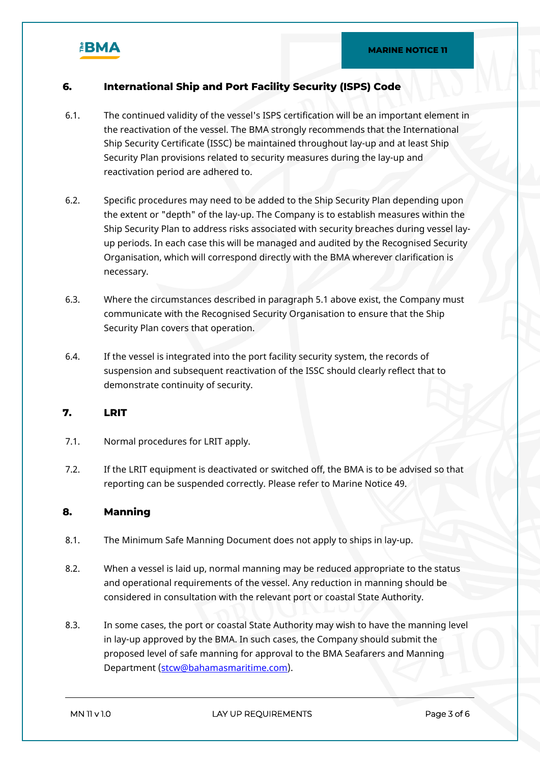

# **6. International Ship and Port Facility Security (ISPS) Code**

- 6.1. The continued validity of the vessel's ISPS certification will be an important element in the reactivation of the vessel. The BMA strongly recommends that the International Ship Security Certificate (ISSC) be maintained throughout lay-up and at least Ship Security Plan provisions related to security measures during the lay-up and reactivation period are adhered to.
- 6.2. Specific procedures may need to be added to the Ship Security Plan depending upon the extent or "depth" of the lay-up. The Company is to establish measures within the Ship Security Plan to address risks associated with security breaches during vessel layup periods. In each case this will be managed and audited by the Recognised Security Organisation, which will correspond directly with the BMA wherever clarification is necessary.
- 6.3. Where the circumstances described in paragraph 5.1 above exist, the Company must communicate with the Recognised Security Organisation to ensure that the Ship Security Plan covers that operation.
- 6.4. If the vessel is integrated into the port facility security system, the records of suspension and subsequent reactivation of the ISSC should clearly reflect that to demonstrate continuity of security.

# **7. LRIT**

- 7.1. Normal procedures for LRIT apply.
- 7.2. If the LRIT equipment is deactivated or switched off, the BMA is to be advised so that reporting can be suspended correctly. Please refer to Marine Notice 49.

### **8. Manning**

- 8.1. The Minimum Safe Manning Document does not apply to ships in lay-up.
- 8.2. When a vessel is laid up, normal manning may be reduced appropriate to the status and operational requirements of the vessel. Any reduction in manning should be considered in consultation with the relevant port or coastal State Authority.
- 8.3. In some cases, the port or coastal State Authority may wish to have the manning level in lay-up approved by the BMA. In such cases, the Company should submit the proposed level of safe manning for approval to the BMA Seafarers and Manning Department ([stcw@bahamasmaritime.com\)](mailto:stcw@bahamasmaritime.com).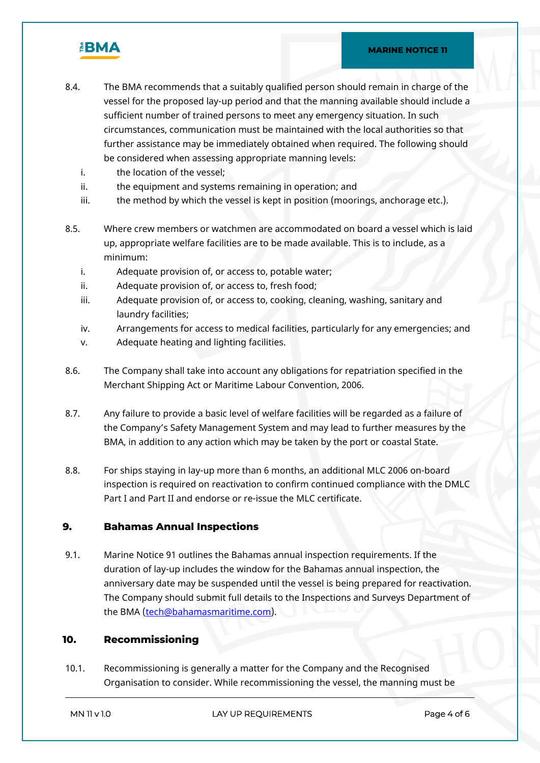

- 8.4. The BMA recommends that a suitably qualified person should remain in charge of the vessel for the proposed lay-up period and that the manning available should include a sufficient number of trained persons to meet any emergency situation. In such circumstances, communication must be maintained with the local authorities so that further assistance may be immediately obtained when required. The following should be considered when assessing appropriate manning levels:
	- i. the location of the vessel;
	- ii. the equipment and systems remaining in operation; and
	- iii. the method by which the vessel is kept in position (moorings, anchorage etc.).
- 8.5. Where crew members or watchmen are accommodated on board a vessel which is laid up, appropriate welfare facilities are to be made available. This is to include, as a minimum:
	- i. Adequate provision of, or access to, potable water;
	- ii. Adequate provision of, or access to, fresh food;
	- iii. Adequate provision of, or access to, cooking, cleaning, washing, sanitary and laundry facilities;
	- iv. Arrangements for access to medical facilities, particularly for any emergencies; and
	- v. Adequate heating and lighting facilities.
- 8.6. The Company shall take into account any obligations for repatriation specified in the Merchant Shipping Act or Maritime Labour Convention, 2006.
- 8.7. Any failure to provide a basic level of welfare facilities will be regarded as a failure of the Company's Safety Management System and may lead to further measures by the BMA, in addition to any action which may be taken by the port or coastal State.
- 8.8. For ships staying in lay-up more than 6 months, an additional MLC 2006 on-board inspection is required on reactivation to confirm continued compliance with the DMLC Part I and Part II and endorse or re-issue the MLC certificate.

### **9. Bahamas Annual Inspections**

9.1. Marine Notice 91 outlines the Bahamas annual inspection requirements. If the duration of lay-up includes the window for the Bahamas annual inspection, the anniversary date may be suspended until the vessel is being prepared for reactivation. The Company should submit full details to the Inspections and Surveys Department of the BMA ([tech@bahamasmaritime.com\)](mailto:tech@bahamasmaritime.com).

# **10. Recommissioning**

10.1. Recommissioning is generally a matter for the Company and the Recognised Organisation to consider. While recommissioning the vessel, the manning must be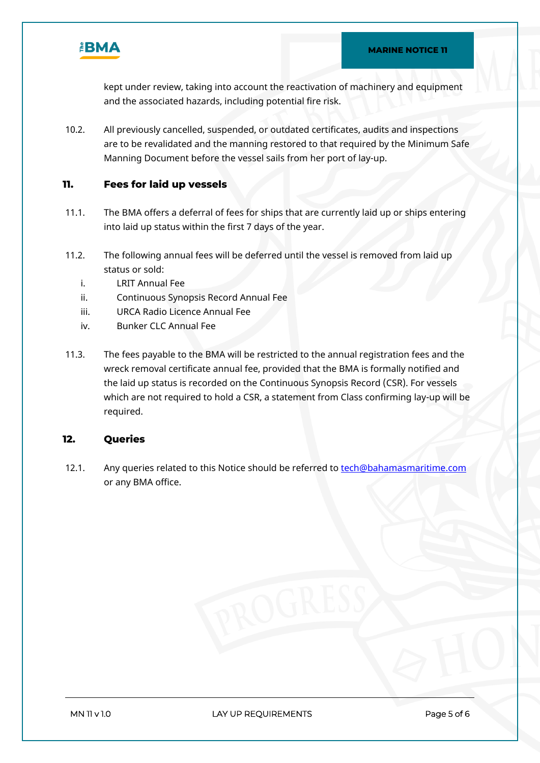

kept under review, taking into account the reactivation of machinery and equipment and the associated hazards, including potential fire risk.

10.2. All previously cancelled, suspended, or outdated certificates, audits and inspections are to be revalidated and the manning restored to that required by the Minimum Safe Manning Document before the vessel sails from her port of lay-up.

# **11. Fees for laid up vessels**

- 11.1. The BMA offers a deferral of fees for ships that are currently laid up or ships entering into laid up status within the first 7 days of the year.
- 11.2. The following annual fees will be deferred until the vessel is removed from laid up status or sold:
	- i. LRIT Annual Fee
	- ii. Continuous Synopsis Record Annual Fee
	- iii. URCA Radio Licence Annual Fee
	- iv. Bunker CLC Annual Fee
- 11.3. The fees payable to the BMA will be restricted to the annual registration fees and the wreck removal certificate annual fee, provided that the BMA is formally notified and the laid up status is recorded on the Continuous Synopsis Record (CSR). For vessels which are not required to hold a CSR, a statement from Class confirming lay-up will be required.

### **12. Queries**

12.1. Any queries related to this Notice should be referred to [tech@bahamasmaritime.com](mailto:tech@bahamasmaritime.com) or any BMA office.